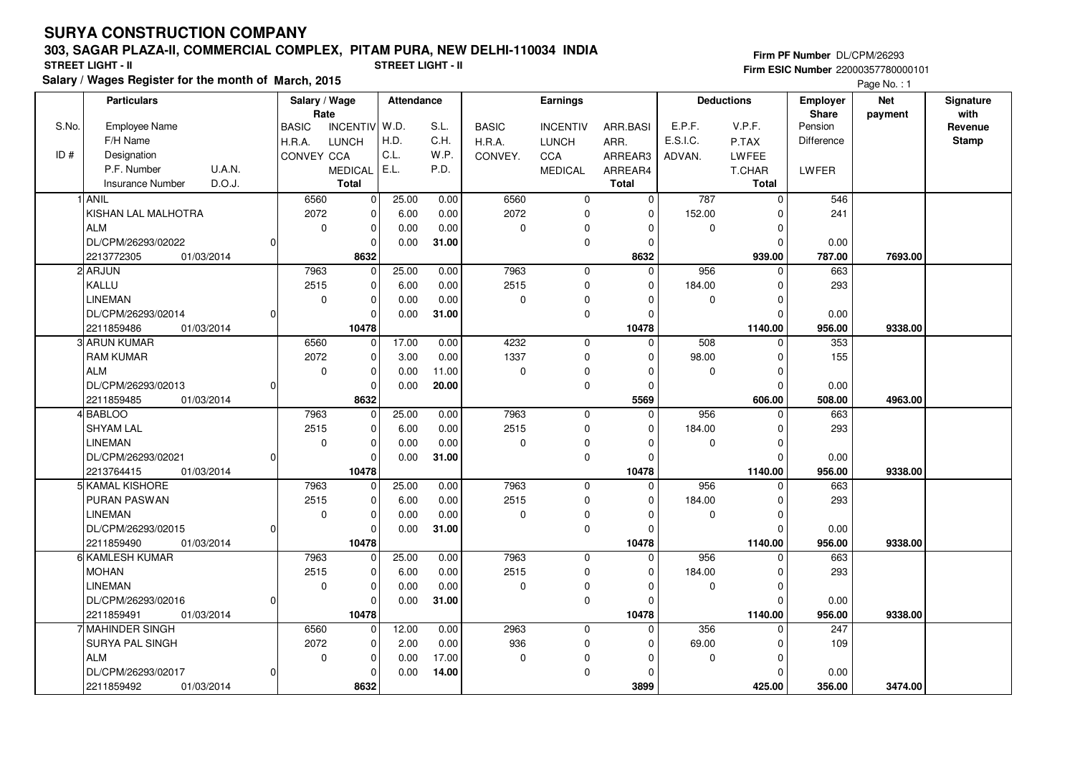## **SURYA CONSTRUCTION COMPANY**

## **303, SAGAR PLAZA-II, COMMERCIAL COMPLEX, PITAM PURA, NEW DELHI-110034 INDIA**

**Salary / Wages Register for the month of March, 2015 STREET LIGHT - II STREET LIGHT - II**

**Firm PF Number** DL/CPM/26293 **Firm ESIC Number** 22000357780000101

Page No. : 1

|       | <b>Particulars</b>                             |              | Salary / Wage                          | <b>Attendance</b> |       | <b>Earnings</b>  |                            |                         | <b>Deductions</b>  |                        | <b>Employer</b>         | <b>Net</b> | Signature               |
|-------|------------------------------------------------|--------------|----------------------------------------|-------------------|-------|------------------|----------------------------|-------------------------|--------------------|------------------------|-------------------------|------------|-------------------------|
| S.No. | Employee Name                                  |              | Rate<br>INCENTIV W.D.                  |                   | S.L.  |                  |                            |                         | E.P.F.             | V.P.F.                 | <b>Share</b><br>Pension | payment    | with                    |
|       | F/H Name                                       | <b>BASIC</b> |                                        | H.D.              | C.H.  | <b>BASIC</b>     | <b>INCENTIV</b>            | ARR.BASI                | E.S.I.C.           |                        | Difference              |            | Revenue<br><b>Stamp</b> |
| ID#   | Designation                                    | H.R.A.       | <b>LUNCH</b><br>CONVEY CCA             | C.L.              | W.P.  | H.R.A.           | <b>LUNCH</b><br><b>CCA</b> | ARR.                    |                    | P.TAX                  |                         |            |                         |
|       | U.A.N.<br>P.F. Number                          |              |                                        | E.L.              | P.D.  | CONVEY.          |                            | ARREAR3                 | ADVAN.             | LWFEE                  |                         |            |                         |
|       | D.O.J.<br><b>Insurance Number</b>              |              | <b>MEDICAL</b><br>Total                |                   |       |                  | <b>MEDICAL</b>             | ARREAR4<br><b>Total</b> |                    | T.CHAR<br><b>Total</b> | LWFER                   |            |                         |
|       |                                                |              |                                        |                   |       |                  |                            |                         |                    |                        |                         |            |                         |
|       | <b>ANIL</b>                                    |              | 6560<br>$\mathbf 0$                    | 25.00             | 0.00  | 6560             | $\mathbf 0$                | $\mathbf 0$             | 787                | $\mathbf{0}$           | 546                     |            |                         |
|       | KISHAN LAL MALHOTRA<br><b>ALM</b>              |              | 2072<br>$\mathbf 0$                    | 6.00              | 0.00  | 2072<br>$\Omega$ | 0                          | $\mathbf 0$<br>$\Omega$ | 152.00<br>$\Omega$ |                        | 241                     |            |                         |
|       |                                                |              | $\mathbf 0$<br>$\mathbf 0$<br>$\Omega$ | 0.00              | 0.00  |                  | 0                          |                         |                    | O                      |                         |            |                         |
|       | DL/CPM/26293/02022                             | $\Omega$     |                                        | 0.00              | 31.00 |                  | 0                          | $\mathbf 0$             |                    | $\Omega$               | 0.00                    |            |                         |
|       | 2213772305<br>01/03/2014                       |              | 8632<br>$\mathbf 0$                    | 25.00             |       | 7963             |                            | 8632<br>$\mathbf 0$     |                    | 939.00                 | 787.00<br>663           | 7693.00    |                         |
|       | 2 ARJUN<br>KALLU                               |              | 7963<br>2515<br>$\mathbf 0$            |                   | 0.00  | 2515             | $\mathbf 0$                | $\mathbf 0$             | 956                | $\Omega$               | 293                     |            |                         |
|       |                                                |              | $\pmb{0}$<br>$\mathbf 0$               | 6.00              | 0.00  | $\Omega$         | 0                          | $\Omega$                | 184.00             | O                      |                         |            |                         |
|       | LINEMAN                                        |              |                                        | 0.00              | 0.00  |                  | 0<br>0                     |                         | 0                  | $\Omega$               |                         |            |                         |
|       | DL/CPM/26293/02014<br>2211859486<br>01/03/2014 |              | $\mathbf 0$<br>10478                   | 0.00              | 31.00 |                  |                            | $\mathbf 0$<br>10478    |                    | 1140.00                | 0.00<br>956.00          | 9338.00    |                         |
|       | 3 ARUN KUMAR                                   |              | $\mathbf 0$<br>6560                    | 17.00             | 0.00  | 4232             | $\mathbf 0$                | $\Omega$                | 508                |                        | 353                     |            |                         |
|       | <b>RAM KUMAR</b>                               |              | 2072<br>$\mathbf 0$                    | 3.00              | 0.00  | 1337             | $\mathbf 0$                | $\mathbf 0$             | 98.00              | $\Omega$               | 155                     |            |                         |
|       | <b>ALM</b>                                     |              | $\mathbf 0$<br>0                       | 0.00              | 11.00 | $\mathbf 0$      | 0                          | $\mathbf 0$             | $\Omega$           | $\Omega$               |                         |            |                         |
|       | DL/CPM/26293/02013                             |              | $\mathbf 0$                            | 0.00              | 20.00 |                  | 0                          | $\mathbf 0$             |                    | $\Omega$               | 0.00                    |            |                         |
|       | 01/03/2014<br>2211859485                       |              | 8632                                   |                   |       |                  |                            | 5569                    |                    | 606.00                 | 508.00                  | 4963.00    |                         |
|       | <b>BABLOO</b>                                  |              | 7963<br>$\overline{0}$                 | 25.00             | 0.00  | 7963             | $\Omega$                   | $\overline{0}$          | 956                | $\Omega$               | 663                     |            |                         |
|       | <b>SHYAM LAL</b>                               |              | 2515<br>$\mathbf 0$                    | 6.00              | 0.00  | 2515             | 0                          | $\Omega$                | 184.00             |                        | 293                     |            |                         |
|       | <b>LINEMAN</b>                                 |              | $\mathbf 0$<br>$\mathbf 0$             | 0.00              | 0.00  | $\mathbf 0$      | 0                          | $\mathbf 0$             | 0                  | $\Omega$               |                         |            |                         |
|       | DL/CPM/26293/02021                             |              | $\mathbf 0$                            | 0.00              | 31.00 |                  | 0                          | $\Omega$                |                    | 0                      | 0.00                    |            |                         |
|       | 2213764415<br>01/03/2014                       |              | 10478                                  |                   |       |                  |                            | 10478                   |                    | 1140.00                | 956.00                  | 9338.00    |                         |
|       | 5 KAMAL KISHORE                                |              | 7963<br>0                              | 25.00             | 0.00  | 7963             | $\mathbf 0$                | $\mathbf 0$             | 956                | $\Omega$               | 663                     |            |                         |
|       | PURAN PASWAN                                   |              | 2515<br>$\mathbf 0$                    | 6.00              | 0.00  | 2515             | $\mathbf 0$                | $\Omega$                | 184.00             |                        | 293                     |            |                         |
|       | <b>LINEMAN</b>                                 |              | $\mathbf 0$<br>$\mathbf 0$             | 0.00              | 0.00  | $\mathbf 0$      | 0                          | $\mathbf 0$             | 0                  | 0                      |                         |            |                         |
|       | DL/CPM/26293/02015                             | $\Omega$     | $\mathbf 0$                            | 0.00              | 31.00 |                  | 0                          | 0                       |                    | $\Omega$               | 0.00                    |            |                         |
|       | 2211859490<br>01/03/2014                       |              | 10478                                  |                   |       |                  |                            | 10478                   |                    | 1140.00                | 956.00                  | 9338.00    |                         |
|       | 6 KAMLESH KUMAR                                |              | 7963<br>$\mathbf 0$                    | 25.00             | 0.00  | 7963             | $\mathbf 0$                | $\mathbf 0$             | 956                |                        | 663                     |            |                         |
|       | <b>MOHAN</b>                                   |              | 2515<br>$\mathbf 0$                    | 6.00              | 0.00  | 2515             | 0                          | $\mathbf 0$             | 184.00             | $\Omega$               | 293                     |            |                         |
|       | <b>LINEMAN</b>                                 |              | $\mathbf 0$<br>$\mathbf 0$             | 0.00              | 0.00  | $\Omega$         | 0                          | $\mathbf 0$             | $\mathbf 0$        |                        |                         |            |                         |
|       | DL/CPM/26293/02016                             |              | $\Omega$                               | 0.00              | 31.00 |                  | 0                          | $\mathbf 0$             |                    | O                      | 0.00                    |            |                         |
|       | 2211859491<br>01/03/2014                       |              | 10478                                  |                   |       |                  |                            | 10478                   |                    | 1140.00                | 956.00                  | 9338.00    |                         |
|       | 7 MAHINDER SINGH                               |              | 6560<br>0                              | 12.00             | 0.00  | 2963             | 0                          | $\mathbf 0$             | 356                | $\Omega$               | 247                     |            |                         |
|       | <b>SURYA PAL SINGH</b>                         |              | 2072<br>$\mathbf 0$                    | 2.00              | 0.00  | 936              | 0                          | 0                       | 69.00              | 0                      | 109                     |            |                         |
|       | <b>ALM</b>                                     |              | 0<br>$\mathbf 0$                       | 0.00              | 17.00 | $\Omega$         | 0                          | $\Omega$                | $\Omega$           | O                      |                         |            |                         |
|       | DL/CPM/26293/02017                             |              | $\Omega$                               | 0.00              | 14.00 |                  | 0                          | $\mathbf 0$             |                    | $\Omega$               | 0.00                    |            |                         |
|       | 2211859492<br>01/03/2014                       |              | 8632                                   |                   |       |                  |                            | 3899                    |                    | 425.00                 | 356.00                  | 3474.00    |                         |